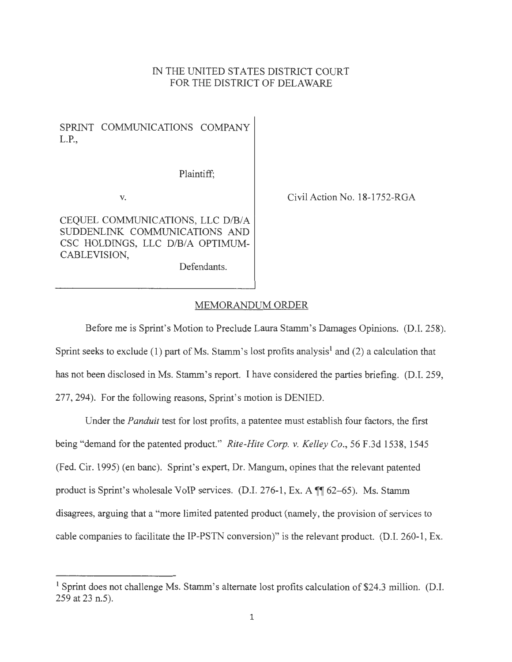## IN THE UNITED STATES DISTRICT COURT FOR THE DISTRICT OF DELAWARE

SPRINT COMMUNICATIONS COMPANY L.P.,

Plaintiff;

Defendants.

V.

Civil Action No. 18-1752-RGA

CEQUEL COMMUNICATIONS, LLC D/B/A SUDDENLINK COMMUNICATIONS AND CSC HOLDINGS, LLC D/B/A OPTIMUM-CABLEVISION,

MEMORANDUM ORDER

Before me is Sprint's Motion to Preclude Laura Stamm's Damages Opinions. (D.I. 258). Sprint seeks to exclude (1) part of Ms. Stamm's lost profits analysis<sup>1</sup> and (2) a calculation that has not been disclosed in Ms. Stamm's report. I have considered the parties briefing. (D.I. 259, 277, 294). For the following reasons, Sprint's motion is DENIED.

Under the *Panduit* test for lost profits, a patentee must establish four factors, the first being "demand for the patented product." *Rite-Hite Corp. v. Kelley Co.,* 56 F.3d 1538, 1545 (Fed. Cir. 1995) (en bane). Sprint's expert, Dr. Mangum, opines that the relevant patented product is Sprint's wholesale VoIP services. (D.I. 276-1, Ex. A  $\mathbb{I}$  62-65). Ms. Stamm disagrees, arguing that a "more limited patented product (namely, the provision of services to cable companies to facilitate the IP-PSTN conversion)" is the relevant product. (D.I. 260-1, Ex.

<sup>&</sup>lt;sup>1</sup> Sprint does not challenge Ms. Stamm's alternate lost profits calculation of \$24.3 million. (D.I. 259 at 23 n.5).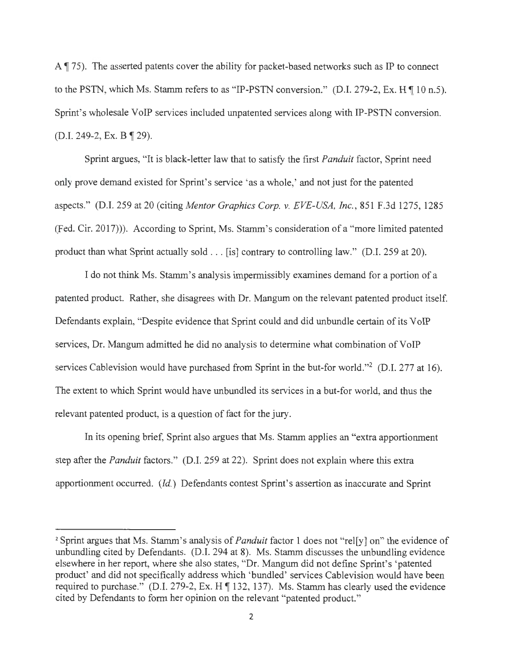A  $\parallel$  75). The asserted patents cover the ability for packet-based networks such as IP to connect to the PSTN, which Ms. Stamm refers to as "IP-PSTN conversion." (D.I. 279-2, Ex. H  $\P$  10 n.5). Sprint's wholesale VoIP services included unpatented services along with IP-PSTN conversion.  $(D.I. 249-2, Ex. B \parallel 29)$ .

Sprint argues, "It is black-letter law that to satisfy the first *Panduit* factor, Sprint need only prove demand existed for Sprint's service ' as a whole,' and not just for the patented aspects." (D.I. 259 at 20 (citing *Mentor Graphics Corp. v. EVE-USA, Inc. ,* 851 F.3d 1275, 1285 (Fed. Cir. 2017)). According to Sprint, Ms. Stamm's consideration of a "more limited patented product than what Sprint actually sold ... [is] contrary to controlling law." (D.I. 259 at 20).

I do not think Ms. Stamm's analysis impermissibly examines demand for a portion of a patented product. Rather, she disagrees with Dr. Mangum on the relevant patented product itself. Defendants explain, "Despite evidence that Sprint could and did unbundle certain of its VoIP services, Dr. Mangum admitted he did no analysis to determine what combination of VoIP services Cablevision would have purchased from Sprint in the but-for world."<sup>2</sup> (D.I. 277 at 16). The extent to which Sprint would have unbundled its services in a but-for world, and thus the relevant patented product, is a question of fact for the jury.

In its opening brief, Sprint also argues that Ms. Stamm applies an "extra apportionment step after the *Panduit* factors." (D.I. 259 at 22). Sprint does not explain where this extra apportionment occurred. *(Id.)* Defendants contest Sprint's assertion as inaccurate and Sprint

<sup>&</sup>lt;sup>2</sup> Sprint argues that Ms. Stamm's analysis of *Panduit* factor 1 does not "rel[y] on" the evidence of unbundling cited by Defendants. (D.I. 294 at 8). Ms. Stamm discusses the unbundling evidence elsewhere in her report, where she also states, "Dr. Mangum did not define Sprint's 'patented product' and did not specifically address which 'bundled' services Cablevision would have been required to purchase." (D.I. 279-2, Ex. H  $\P$  132, 137). Ms. Stamm has clearly used the evidence cited by Defendants to form her opinion on the relevant "patented product."